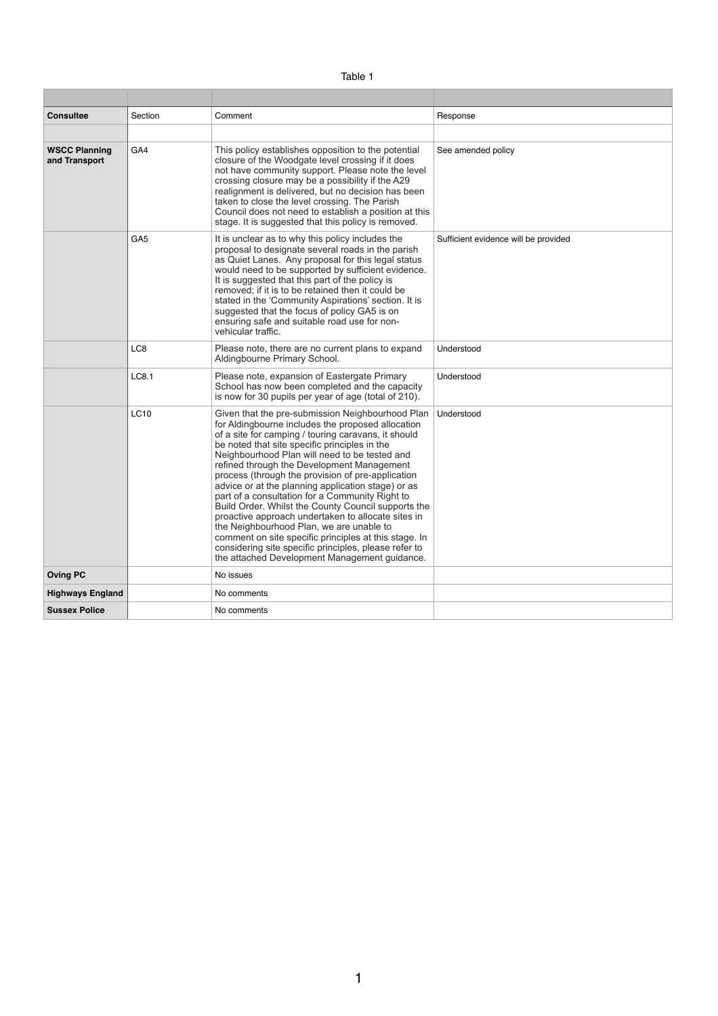| <sup>-</sup> able |  |
|-------------------|--|
|-------------------|--|

| <b>Consultee</b>                      | Section         | Comment                                                                                                                                                                                                                                                                                                                                                                                                                                                                                                                                                                                                                                                                                                                                                                                                | Response                             |
|---------------------------------------|-----------------|--------------------------------------------------------------------------------------------------------------------------------------------------------------------------------------------------------------------------------------------------------------------------------------------------------------------------------------------------------------------------------------------------------------------------------------------------------------------------------------------------------------------------------------------------------------------------------------------------------------------------------------------------------------------------------------------------------------------------------------------------------------------------------------------------------|--------------------------------------|
|                                       |                 |                                                                                                                                                                                                                                                                                                                                                                                                                                                                                                                                                                                                                                                                                                                                                                                                        |                                      |
| <b>WSCC Planning</b><br>and Transport | GA4             | This policy establishes opposition to the potential<br>closure of the Woodgate level crossing if it does<br>not have community support. Please note the level<br>crossing closure may be a possibility if the A29<br>realignment is delivered, but no decision has been<br>taken to close the level crossing. The Parish<br>Council does not need to establish a position at this<br>stage. It is suggested that this policy is removed.                                                                                                                                                                                                                                                                                                                                                               | See amended policy                   |
|                                       | GA <sub>5</sub> | It is unclear as to why this policy includes the<br>proposal to designate several roads in the parish<br>as Quiet Lanes. Any proposal for this legal status<br>would need to be supported by sufficient evidence.<br>It is suggested that this part of the policy is<br>removed; if it is to be retained then it could be<br>stated in the 'Community Aspirations' section. It is<br>suggested that the focus of policy GA5 is on<br>ensuring safe and suitable road use for non-<br>vehicular traffic.                                                                                                                                                                                                                                                                                                | Sufficient evidence will be provided |
|                                       | LC8             | Please note, there are no current plans to expand<br>Aldingbourne Primary School.                                                                                                                                                                                                                                                                                                                                                                                                                                                                                                                                                                                                                                                                                                                      | Understood                           |
|                                       | LC8.1           | Please note, expansion of Eastergate Primary<br>School has now been completed and the capacity<br>is now for 30 pupils per year of age (total of 210).                                                                                                                                                                                                                                                                                                                                                                                                                                                                                                                                                                                                                                                 | Understood                           |
|                                       | <b>LC10</b>     | Given that the pre-submission Neighbourhood Plan<br>for Aldingbourne includes the proposed allocation<br>of a site for camping / touring caravans, it should<br>be noted that site specific principles in the<br>Neighbourhood Plan will need to be tested and<br>refined through the Development Management<br>process (through the provision of pre-application<br>advice or at the planning application stage) or as<br>part of a consultation for a Community Right to<br>Build Order. Whilst the County Council supports the<br>proactive approach undertaken to allocate sites in<br>the Neighbourhood Plan, we are unable to<br>comment on site specific principles at this stage. In<br>considering site specific principles, please refer to<br>the attached Development Management guidance. | Understood                           |
| <b>Oving PC</b>                       |                 | No issues                                                                                                                                                                                                                                                                                                                                                                                                                                                                                                                                                                                                                                                                                                                                                                                              |                                      |
| <b>Highways England</b>               |                 | No comments                                                                                                                                                                                                                                                                                                                                                                                                                                                                                                                                                                                                                                                                                                                                                                                            |                                      |
| <b>Sussex Police</b>                  |                 | No comments                                                                                                                                                                                                                                                                                                                                                                                                                                                                                                                                                                                                                                                                                                                                                                                            |                                      |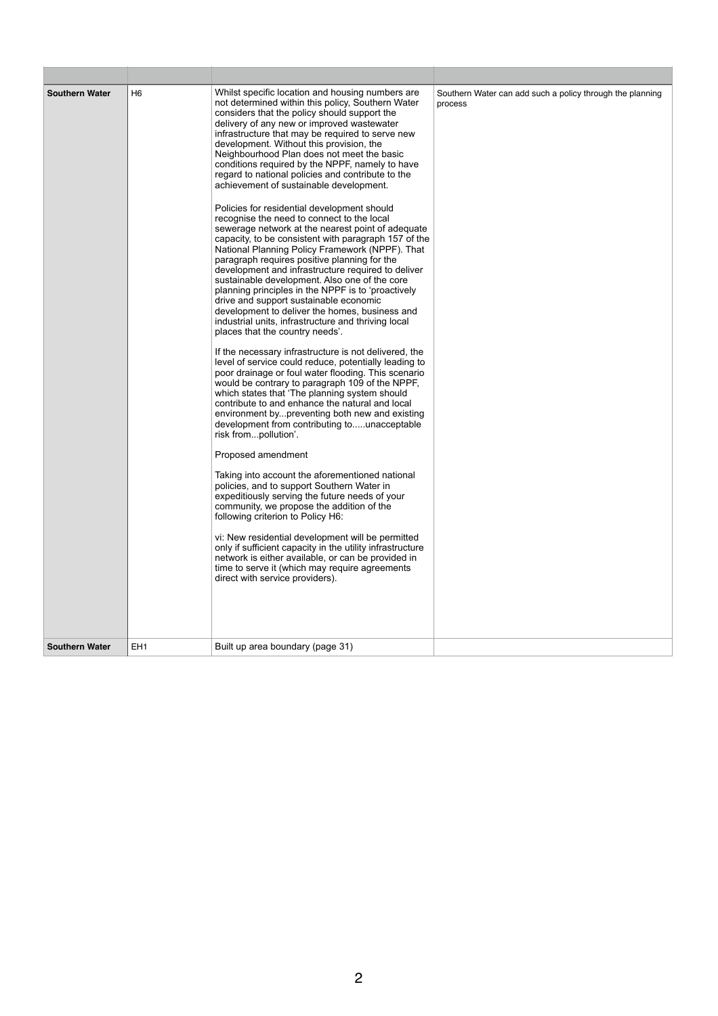| <b>Southern Water</b><br><b>Southern Water</b> | H <sub>6</sub><br>EH <sub>1</sub> | Whilst specific location and housing numbers are<br>not determined within this policy, Southern Water<br>considers that the policy should support the<br>delivery of any new or improved wastewater<br>infrastructure that may be required to serve new<br>development. Without this provision, the<br>Neighbourhood Plan does not meet the basic<br>conditions required by the NPPF, namely to have<br>regard to national policies and contribute to the<br>achievement of sustainable development.<br>Policies for residential development should<br>recognise the need to connect to the local<br>sewerage network at the nearest point of adequate<br>capacity, to be consistent with paragraph 157 of the<br>National Planning Policy Framework (NPPF). That<br>paragraph requires positive planning for the<br>development and infrastructure required to deliver<br>sustainable development. Also one of the core<br>planning principles in the NPPF is to 'proactively<br>drive and support sustainable economic<br>development to deliver the homes, business and<br>industrial units, infrastructure and thriving local<br>places that the country needs'.<br>If the necessary infrastructure is not delivered, the<br>level of service could reduce, potentially leading to<br>poor drainage or foul water flooding. This scenario<br>would be contrary to paragraph 109 of the NPPF,<br>which states that 'The planning system should<br>contribute to and enhance the natural and local<br>environment bypreventing both new and existing<br>development from contributing tounacceptable<br>risk frompollution'.<br>Proposed amendment<br>Taking into account the aforementioned national<br>policies, and to support Southern Water in<br>expeditiously serving the future needs of your<br>community, we propose the addition of the<br>following criterion to Policy H6:<br>vi: New residential development will be permitted<br>only if sufficient capacity in the utility infrastructure<br>network is either available, or can be provided in<br>time to serve it (which may require agreements<br>direct with service providers).<br>Built up area boundary (page 31) | Southern Water can add such a policy through the planning<br>process |
|------------------------------------------------|-----------------------------------|--------------------------------------------------------------------------------------------------------------------------------------------------------------------------------------------------------------------------------------------------------------------------------------------------------------------------------------------------------------------------------------------------------------------------------------------------------------------------------------------------------------------------------------------------------------------------------------------------------------------------------------------------------------------------------------------------------------------------------------------------------------------------------------------------------------------------------------------------------------------------------------------------------------------------------------------------------------------------------------------------------------------------------------------------------------------------------------------------------------------------------------------------------------------------------------------------------------------------------------------------------------------------------------------------------------------------------------------------------------------------------------------------------------------------------------------------------------------------------------------------------------------------------------------------------------------------------------------------------------------------------------------------------------------------------------------------------------------------------------------------------------------------------------------------------------------------------------------------------------------------------------------------------------------------------------------------------------------------------------------------------------------------------------------------------------------------------------------------------------------------------------------------------------------------------------------|----------------------------------------------------------------------|
|                                                |                                   |                                                                                                                                                                                                                                                                                                                                                                                                                                                                                                                                                                                                                                                                                                                                                                                                                                                                                                                                                                                                                                                                                                                                                                                                                                                                                                                                                                                                                                                                                                                                                                                                                                                                                                                                                                                                                                                                                                                                                                                                                                                                                                                                                                                            |                                                                      |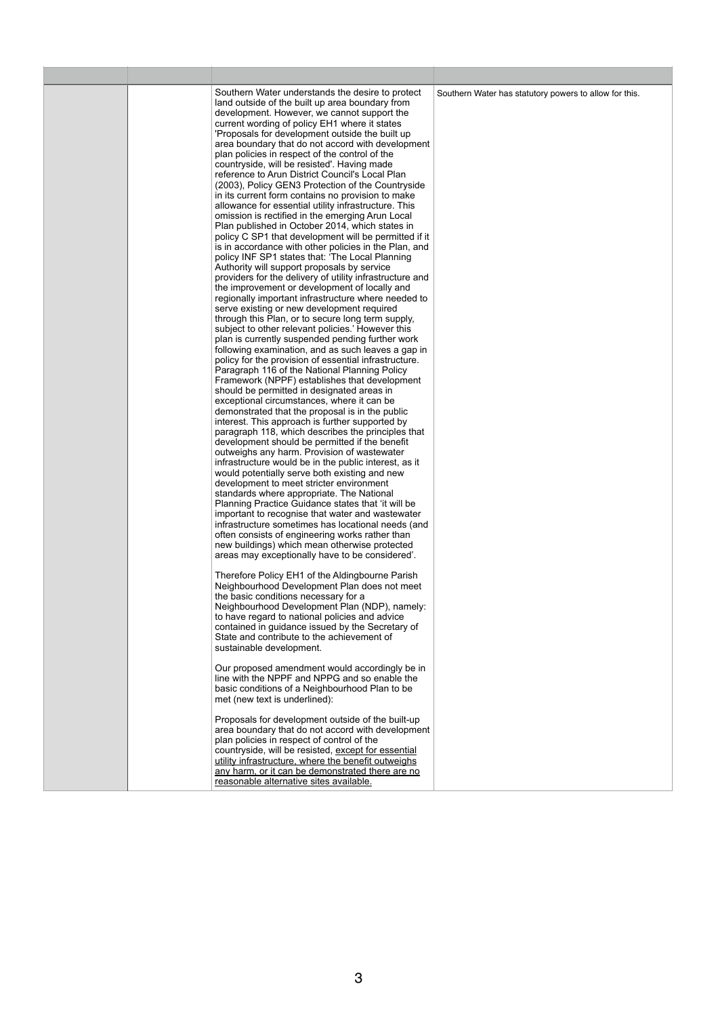area boundary that do not accord with development plan policies in respect of control of the countryside, will be resisted, except for essential utility infrastructure, where the benefit outweighs

| , or it can be demonstrated there are no<br>anv<br>harm. |  |
|----------------------------------------------------------|--|
| reasonable alternative sites available.                  |  |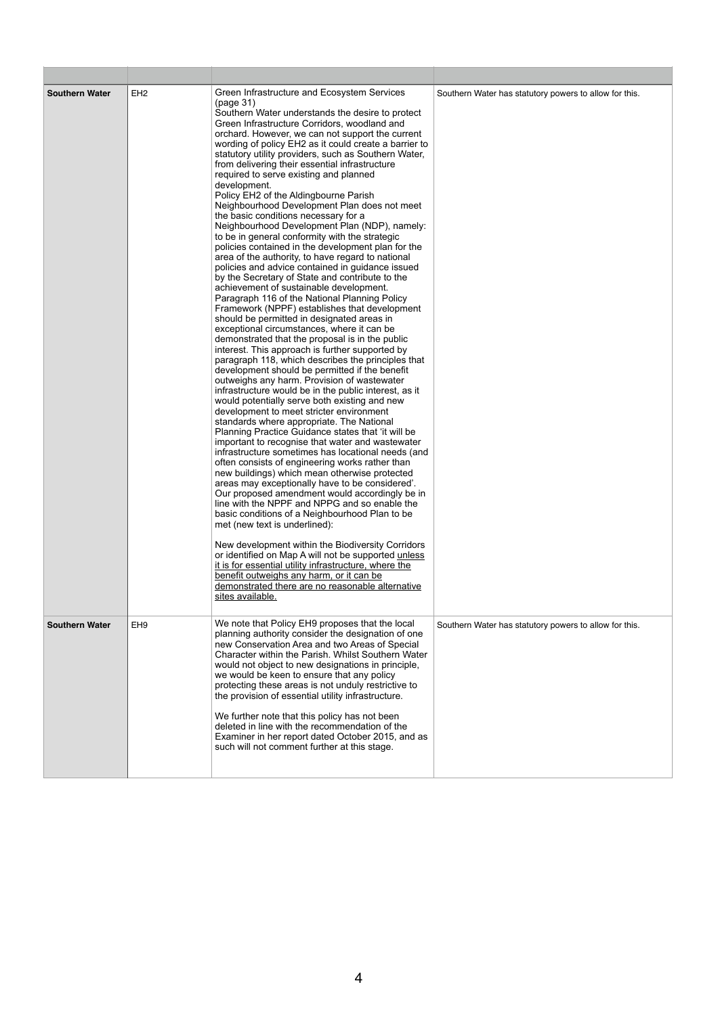| <b>Southern Water</b> | EH <sub>2</sub> | Green Infrastructure and Ecosystem Services<br>(page 31)<br>Southern Water understands the desire to protect<br>Green Infrastructure Corridors, woodland and<br>orchard. However, we can not support the current<br>wording of policy EH2 as it could create a barrier to<br>statutory utility providers, such as Southern Water,<br>from delivering their essential infrastructure<br>required to serve existing and planned<br>development.<br>Policy EH2 of the Aldingbourne Parish<br>Neighbourhood Development Plan does not meet<br>the basic conditions necessary for a<br>Neighbourhood Development Plan (NDP), namely:<br>to be in general conformity with the strategic<br>policies contained in the development plan for the<br>area of the authority, to have regard to national<br>policies and advice contained in guidance issued<br>by the Secretary of State and contribute to the<br>achievement of sustainable development.<br>Paragraph 116 of the National Planning Policy<br>Framework (NPPF) establishes that development<br>should be permitted in designated areas in<br>exceptional circumstances, where it can be<br>demonstrated that the proposal is in the public<br>interest. This approach is further supported by<br>paragraph 118, which describes the principles that<br>development should be permitted if the benefit<br>outweighs any harm. Provision of wastewater<br>infrastructure would be in the public interest, as it<br>would potentially serve both existing and new<br>development to meet stricter environment<br>standards where appropriate. The National<br>Planning Practice Guidance states that 'it will be<br>important to recognise that water and wastewater<br>infrastructure sometimes has locational needs (and<br>often consists of engineering works rather than<br>new buildings) which mean otherwise protected<br>areas may exceptionally have to be considered'.<br>Our proposed amendment would accordingly be in<br>line with the NPPF and NPPG and so enable the<br>basic conditions of a Neighbourhood Plan to be<br>met (new text is underlined):<br>New development within the Biodiversity Corridors<br>or identified on Map A will not be supported unless<br>it is for essential utility infrastructure, where the<br>benefit outweighs any harm, or it can be<br>demonstrated there are no reasonable alternative<br>sites available. | Southern Water has statutory powers to allow for this. |
|-----------------------|-----------------|--------------------------------------------------------------------------------------------------------------------------------------------------------------------------------------------------------------------------------------------------------------------------------------------------------------------------------------------------------------------------------------------------------------------------------------------------------------------------------------------------------------------------------------------------------------------------------------------------------------------------------------------------------------------------------------------------------------------------------------------------------------------------------------------------------------------------------------------------------------------------------------------------------------------------------------------------------------------------------------------------------------------------------------------------------------------------------------------------------------------------------------------------------------------------------------------------------------------------------------------------------------------------------------------------------------------------------------------------------------------------------------------------------------------------------------------------------------------------------------------------------------------------------------------------------------------------------------------------------------------------------------------------------------------------------------------------------------------------------------------------------------------------------------------------------------------------------------------------------------------------------------------------------------------------------------------------------------------------------------------------------------------------------------------------------------------------------------------------------------------------------------------------------------------------------------------------------------------------------------------------------------------------------------------------------------------------------------------------------------------------------------------------------------------|--------------------------------------------------------|
| <b>Southern Water</b> | EH <sub>9</sub> | We note that Policy EH9 proposes that the local<br>planning authority consider the designation of one<br>new Conservation Area and two Areas of Special<br>Character within the Parish. Whilst Southern Water<br>would not object to new designations in principle,<br>we would be keen to ensure that any policy<br>protecting these areas is not unduly restrictive to<br>the provision of essential utility infrastructure.<br>We further note that this policy has not been<br>deleted in line with the recommendation of the<br>Examiner in her report dated October 2015, and as<br>such will not comment further at this stage.                                                                                                                                                                                                                                                                                                                                                                                                                                                                                                                                                                                                                                                                                                                                                                                                                                                                                                                                                                                                                                                                                                                                                                                                                                                                                                                                                                                                                                                                                                                                                                                                                                                                                                                                                                             | Southern Water has statutory powers to allow for this. |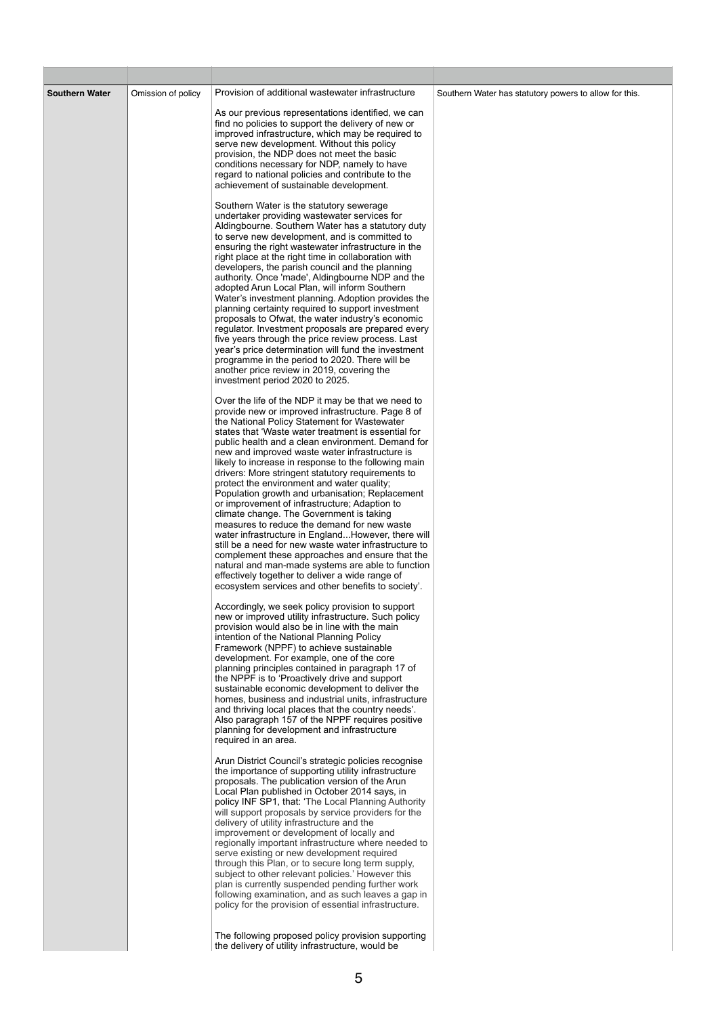| <b>Southern Water</b> | Omission of policy | Provision of additional wastewater infrastructure<br>As our previous representations identified, we can<br>find no policies to support the delivery of new or<br>improved infrastructure, which may be required to<br>serve new development. Without this policy<br>provision, the NDP does not meet the basic<br>conditions necessary for NDP, namely to have<br>regard to national policies and contribute to the<br>achievement of sustainable development.                                                                                                                                                                                                                                                                                                                                                                                                                                                                                                                                                  | Southern Water has statutory powers to allow for this. |
|-----------------------|--------------------|-----------------------------------------------------------------------------------------------------------------------------------------------------------------------------------------------------------------------------------------------------------------------------------------------------------------------------------------------------------------------------------------------------------------------------------------------------------------------------------------------------------------------------------------------------------------------------------------------------------------------------------------------------------------------------------------------------------------------------------------------------------------------------------------------------------------------------------------------------------------------------------------------------------------------------------------------------------------------------------------------------------------|--------------------------------------------------------|
|                       |                    | Southern Water is the statutory sewerage<br>undertaker providing wastewater services for<br>Aldingbourne. Southern Water has a statutory duty<br>to serve new development, and is committed to<br>ensuring the right wastewater infrastructure in the<br>right place at the right time in collaboration with<br>developers, the parish council and the planning<br>authority. Once 'made', Aldingbourne NDP and the<br>adopted Arun Local Plan, will inform Southern<br>Water's investment planning. Adoption provides the<br>planning certainty required to support investment<br>proposals to Ofwat, the water industry's economic<br>regulator. Investment proposals are prepared every<br>five years through the price review process. Last<br>year's price determination will fund the investment<br>programme in the period to 2020. There will be<br>another price review in 2019, covering the<br>investment period 2020 to 2025.                                                                       |                                                        |
|                       |                    | Over the life of the NDP it may be that we need to<br>provide new or improved infrastructure. Page 8 of<br>the National Policy Statement for Wastewater<br>states that 'Waste water treatment is essential for<br>public health and a clean environment. Demand for<br>new and improved waste water infrastructure is<br>likely to increase in response to the following main<br>drivers: More stringent statutory requirements to<br>protect the environment and water quality;<br>Population growth and urbanisation; Replacement<br>or improvement of infrastructure; Adaption to<br>climate change. The Government is taking<br>measures to reduce the demand for new waste<br>water infrastructure in EnglandHowever, there will<br>still be a need for new waste water infrastructure to<br>complement these approaches and ensure that the<br>natural and man-made systems are able to function<br>effectively together to deliver a wide range of<br>ecosystem services and other benefits to society'. |                                                        |
|                       |                    | Accordingly, we seek policy provision to support<br>new or improved utility infrastructure. Such policy<br>provision would also be in line with the main<br>intention of the National Planning Policy<br>Framework (NPPF) to achieve sustainable<br>development. For example, one of the core<br>planning principles contained in paragraph 17 of<br>the NPPF is to 'Proactively drive and support<br>sustainable economic development to deliver the<br>homes, business and industrial units, infrastructure<br>and thriving local places that the country needs'.<br>Also paragraph 157 of the NPPF requires positive<br>planning for development and infrastructure<br>required in an area.                                                                                                                                                                                                                                                                                                                  |                                                        |

Arun District Council's strategic policies recognise the importance of supporting utility infrastructure proposals. The publication version of the Arun Local Plan published in October 2014 says, in policy INF SP1, that: 'The Local Planning Authority will support proposals by service providers for the delivery of utility infrastructure and the improvement or development of locally and regionally important infrastructure where needed to serve existing or new development required through this Plan, or to secure long term supply, subject to other relevant policies.' However this plan is currently suspended pending further work following examination, and as such leaves a gap in policy for the provision of essential infrastructure.

The following proposed policy provision supporting the delivery of utility infrastructure, would be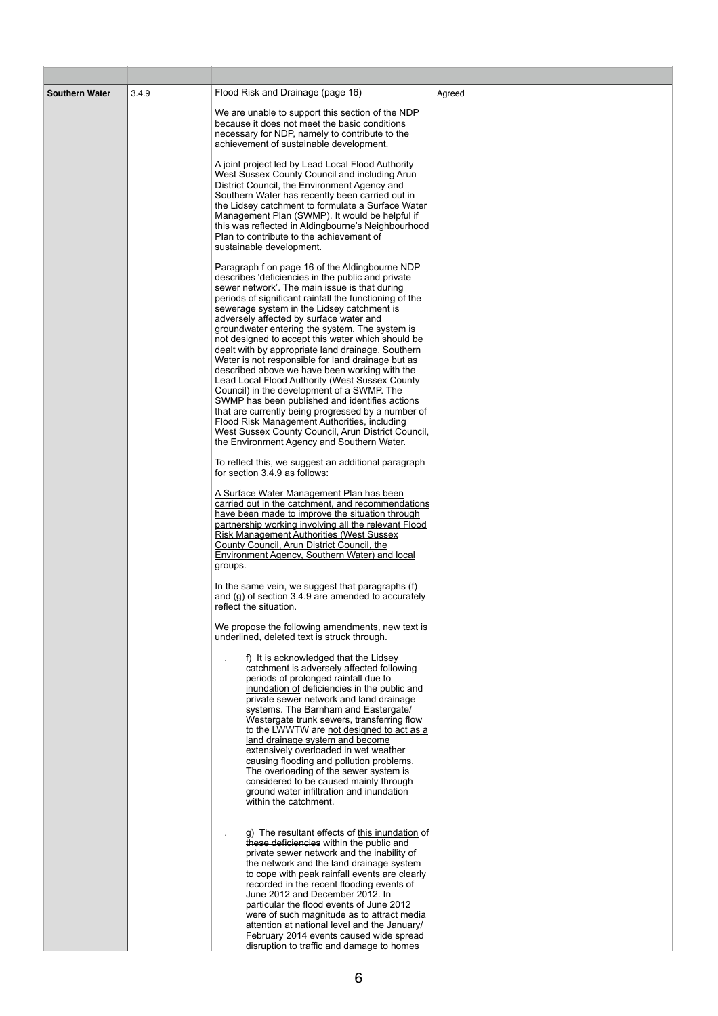The overloading of the sewer system is considered to be caused mainly through ground water infiltration and inundation within the catchment.

. g) The resultant effects of this inundation of these deficiencies within the public and private sewer network and the inability of the network and the land drainage system to cope with peak rainfall events are clearly recorded in the recent flooding events of June 2012 and December 2012. In particular the flood events of June 2012 were of such magnitude as to attract media attention at national level and the January/ February 2014 events caused wide spread disruption to traffic and damage to homes

| <b>Southern Water</b> | 3.4.9 | Flood Risk and Drainage (page 16)<br>We are unable to support this section of the NDP<br>because it does not meet the basic conditions<br>necessary for NDP, namely to contribute to the<br>achievement of sustainable development.<br>A joint project led by Lead Local Flood Authority<br>West Sussex County Council and including Arun<br>District Council, the Environment Agency and<br>Southern Water has recently been carried out in<br>the Lidsey catchment to formulate a Surface Water<br>Management Plan (SWMP). It would be helpful if<br>this was reflected in Aldingbourne's Neighbourhood<br>Plan to contribute to the achievement of<br>sustainable development.                                                                                                                                                                                                                                                     | Agreed |
|-----------------------|-------|---------------------------------------------------------------------------------------------------------------------------------------------------------------------------------------------------------------------------------------------------------------------------------------------------------------------------------------------------------------------------------------------------------------------------------------------------------------------------------------------------------------------------------------------------------------------------------------------------------------------------------------------------------------------------------------------------------------------------------------------------------------------------------------------------------------------------------------------------------------------------------------------------------------------------------------|--------|
|                       |       | Paragraph f on page 16 of the Aldingbourne NDP<br>describes 'deficiencies in the public and private<br>sewer network'. The main issue is that during<br>periods of significant rainfall the functioning of the<br>sewerage system in the Lidsey catchment is<br>adversely affected by surface water and<br>groundwater entering the system. The system is<br>not designed to accept this water which should be<br>dealt with by appropriate land drainage. Southern<br>Water is not responsible for land drainage but as<br>described above we have been working with the<br>Lead Local Flood Authority (West Sussex County<br>Council) in the development of a SWMP. The<br>SWMP has been published and identifies actions<br>that are currently being progressed by a number of<br>Flood Risk Management Authorities, including<br>West Sussex County Council, Arun District Council,<br>the Environment Agency and Southern Water. |        |
|                       |       | To reflect this, we suggest an additional paragraph<br>for section 3.4.9 as follows:<br>A Surface Water Management Plan has been<br>carried out in the catchment, and recommendations<br>have been made to improve the situation through<br>partnership working involving all the relevant Flood<br><b>Risk Management Authorities (West Sussex)</b><br>County Council, Arun District Council, the<br>Environment Agency, Southern Water) and local<br>groups.<br>In the same vein, we suggest that paragraphs (f)<br>and (g) of section 3.4.9 are amended to accurately<br>reflect the situation.                                                                                                                                                                                                                                                                                                                                    |        |
|                       |       | We propose the following amendments, new text is<br>underlined, deleted text is struck through.<br>f) It is acknowledged that the Lidsey<br>catchment is adversely affected following<br>periods of prolonged rainfall due to<br>inundation of deficiencies in the public and<br>private sewer network and land drainage<br>systems. The Barnham and Eastergate/<br>Westergate trunk sewers, transferring flow<br>to the LWWTW are not designed to act as a<br>land drainage system and become<br>extensively overloaded in wet weather                                                                                                                                                                                                                                                                                                                                                                                               |        |

causing flooding and pollution problems.